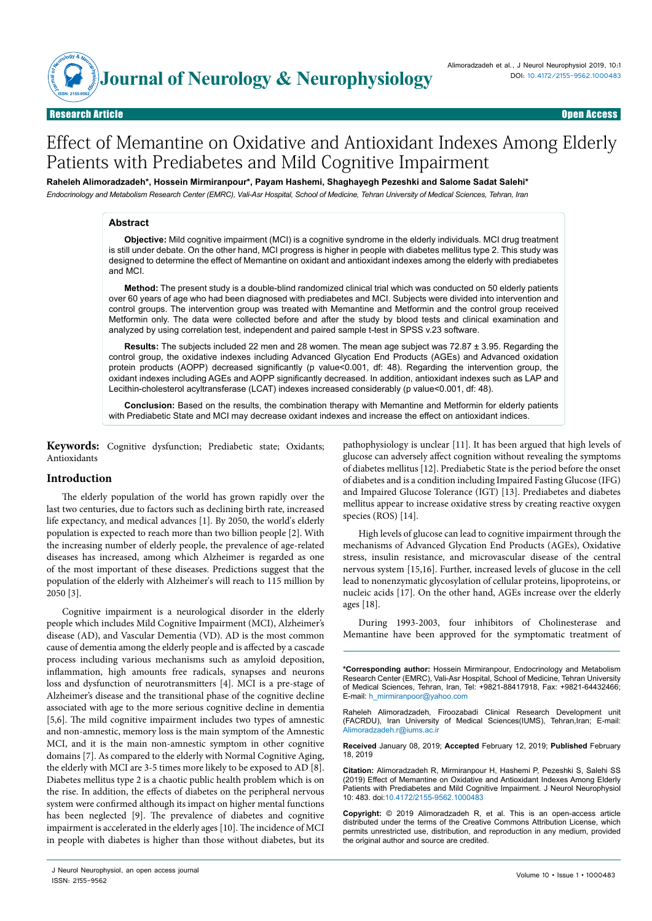

# Effect of Memantine on Oxidative and Antioxidant Indexes Among Elderly Patients with Prediabetes and Mild Cognitive Impairment

**Raheleh Alimoradzadeh\*, Hossein Mirmiranpour\*, Payam Hashemi, Shaghayegh Pezeshki and Salome Sadat Salehi\***

### *Endocrinology and Metabolism Research Center (EMRC), Vali-Asr Hospital, School of Medicine, Tehran University of Medical Sciences, Tehran, Iran*

## **Abstract**

**Objective:** Mild cognitive impairment (MCI) is a cognitive syndrome in the elderly individuals. MCI drug treatment is still under debate. On the other hand, MCI progress is higher in people with diabetes mellitus type 2. This study was designed to determine the effect of Memantine on oxidant and antioxidant indexes among the elderly with prediabetes and MCI.

**Method:** The present study is a double-blind randomized clinical trial which was conducted on 50 elderly patients over 60 years of age who had been diagnosed with prediabetes and MCI. Subjects were divided into intervention and control groups. The intervention group was treated with Memantine and Metformin and the control group received Metformin only. The data were collected before and after the study by blood tests and clinical examination and analyzed by using correlation test, independent and paired sample t-test in SPSS v.23 software.

**Results:** The subjects included 22 men and 28 women. The mean age subject was 72.87 ± 3.95. Regarding the control group, the oxidative indexes including Advanced Glycation End Products (AGEs) and Advanced oxidation protein products (AOPP) decreased significantly (p value<0.001, df: 48). Regarding the intervention group, the oxidant indexes including AGEs and AOPP significantly decreased. In addition, antioxidant indexes such as LAP and Lecithin-cholesterol acyltransferase (LCAT) indexes increased considerably (p value<0.001, df: 48).

**Conclusion:** Based on the results, the combination therapy with Memantine and Metformin for elderly patients with Prediabetic State and MCI may decrease oxidant indexes and increase the effect on antioxidant indices.

**Keywords:** Cognitive dysfunction; Prediabetic state; Oxidants; Antioxidants

#### **Introduction**

The elderly population of the world has grown rapidly over the last two centuries, due to factors such as declining birth rate, increased life expectancy, and medical advances [1]. By 2050, the world's elderly population is expected to reach more than two billion people [2]. With the increasing number of elderly people, the prevalence of age-related diseases has increased, among which Alzheimer is regarded as one of the most important of these diseases. Predictions suggest that the population of the elderly with Alzheimer's will reach to 115 million by 2050 [3].

Cognitive impairment is a neurological disorder in the elderly people which includes Mild Cognitive Impairment (MCI), Alzheimer's disease (AD), and Vascular Dementia (VD). AD is the most common cause of dementia among the elderly people and is affected by a cascade process including various mechanisms such as amyloid deposition, inflammation, high amounts free radicals, synapses and neurons loss and dysfunction of neurotransmitters [4]. MCI is a pre-stage of Alzheimer's disease and the transitional phase of the cognitive decline associated with age to the more serious cognitive decline in dementia [5,6]. The mild cognitive impairment includes two types of amnestic and non-amnestic, memory loss is the main symptom of the Amnestic MCI, and it is the main non-amnestic symptom in other cognitive domains [7]. As compared to the elderly with Normal Cognitive Aging, the elderly with MCI are 3-5 times more likely to be exposed to AD [8]. Diabetes mellitus type 2 is a chaotic public health problem which is on the rise. In addition, the effects of diabetes on the peripheral nervous system were confirmed although its impact on higher mental functions has been neglected [9]. The prevalence of diabetes and cognitive impairment is accelerated in the elderly ages [10]. The incidence of MCI in people with diabetes is higher than those without diabetes, but its

J Neurol Neurophysiol, an open access journal and the state of the state 1 contract the United States 1 concentration of the United States 1 concentration of the United States 1 concentration of the United States 1 concent ISSN: 2155-9562

pathophysiology is unclear [11]. It has been argued that high levels of glucose can adversely affect cognition without revealing the symptoms of diabetes mellitus [12]. Prediabetic State is the period before the onset of diabetes and is a condition including Impaired Fasting Glucose (IFG) and Impaired Glucose Tolerance (IGT) [13]. Prediabetes and diabetes mellitus appear to increase oxidative stress by creating reactive oxygen species (ROS) [14].

High levels of glucose can lead to cognitive impairment through the mechanisms of Advanced Glycation End Products (AGEs), Oxidative stress, insulin resistance, and microvascular disease of the central nervous system [15,16]. Further, increased levels of glucose in the cell lead to nonenzymatic glycosylation of cellular proteins, lipoproteins, or nucleic acids [17]. On the other hand, AGEs increase over the elderly ages [18].

During 1993-2003, four inhibitors of Cholinesterase and Memantine have been approved for the symptomatic treatment of

**\*Corresponding author:** Hossein Mirmiranpour, Endocrinology and Metabolism Research Center (EMRC), Vali-Asr Hospital, School of Medicine, Tehran University of Medical Sciences, Tehran, Iran, Tel: +9821-88417918, Fax: +9821-64432466; E-mail: h\_mirmiranpoor@yahoo.com

Raheleh Alimoradzadeh, Firoozabadi Clinical Research Development unit (FACRDU), Iran University of Medical Sciences(IUMS), Tehran,Iran; E-mail: Alimoradzadeh.r@iums.ac.ir

**Received** January 08, 2019; **Accepted** February 12, 2019; **Published** February 18, 2019

**Citation:** Alimoradzadeh R, Mirmiranpour H, Hashemi P, Pezeshki S, Salehi SS (2019) Effect of Memantine on Oxidative and Antioxidant Indexes Among Elderly Patients with Prediabetes and Mild Cognitive Impairment. J Neurol Neurophysiol 10: 483. doi:10.4172/2155-9562.1000483

**Copyright:** © 2019 Alimoradzadeh R, et al. This is an open-access article distributed under the terms of the Creative Commons Attribution License, which permits unrestricted use, distribution, and reproduction in any medium, provided the original author and source are credited.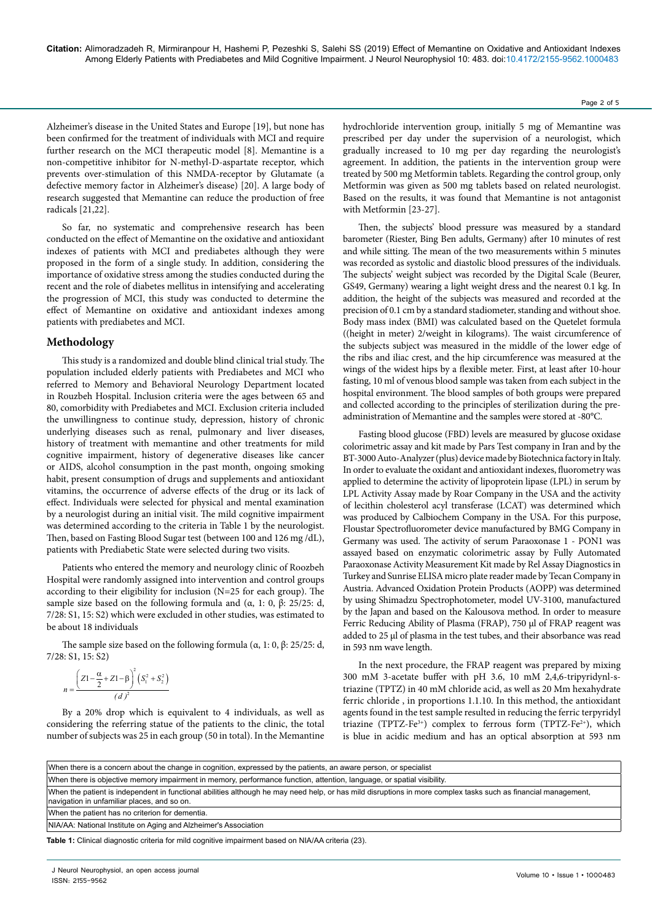**Citation:** Alimoradzadeh R, Mirmiranpour H, Hashemi P, Pezeshki S, Salehi SS (2019) Effect of Memantine on Oxidative and Antioxidant Indexes Among Elderly Patients with Prediabetes and Mild Cognitive Impairment. J Neurol Neurophysiol 10: 483. doi:10.4172/2155-9562.1000483

Alzheimer's disease in the United States and Europe [19], but none has been confirmed for the treatment of individuals with MCI and require further research on the MCI therapeutic model [8]. Memantine is a non-competitive inhibitor for N-methyl-D-aspartate receptor, which prevents over-stimulation of this NMDA-receptor by Glutamate (a defective memory factor in Alzheimer's disease) [20]. A large body of research suggested that Memantine can reduce the production of free radicals [21,22].

So far, no systematic and comprehensive research has been conducted on the effect of Memantine on the oxidative and antioxidant indexes of patients with MCI and prediabetes although they were proposed in the form of a single study. In addition, considering the importance of oxidative stress among the studies conducted during the recent and the role of diabetes mellitus in intensifying and accelerating the progression of MCI, this study was conducted to determine the effect of Memantine on oxidative and antioxidant indexes among patients with prediabetes and MCI.

#### **Methodology**

This study is a randomized and double blind clinical trial study. The population included elderly patients with Prediabetes and MCI who referred to Memory and Behavioral Neurology Department located in Rouzbeh Hospital. Inclusion criteria were the ages between 65 and 80, comorbidity with Prediabetes and MCI. Exclusion criteria included the unwillingness to continue study, depression, history of chronic underlying diseases such as renal, pulmonary and liver diseases, history of treatment with memantine and other treatments for mild cognitive impairment, history of degenerative diseases like cancer or AIDS, alcohol consumption in the past month, ongoing smoking habit, present consumption of drugs and supplements and antioxidant vitamins, the occurrence of adverse effects of the drug or its lack of effect. Individuals were selected for physical and mental examination by a neurologist during an initial visit. The mild cognitive impairment was determined according to the criteria in Table 1 by the neurologist. Then, based on Fasting Blood Sugar test (between 100 and 126 mg /dL), patients with Prediabetic State were selected during two visits.

Patients who entered the memory and neurology clinic of Roozbeh Hospital were randomly assigned into intervention and control groups according to their eligibility for inclusion (N=25 for each group). The sample size based on the following formula and (α, 1: 0, β: 25/25: d, 7/28: S1, 15: S2) which were excluded in other studies, was estimated to be about 18 individuals

The sample size based on the following formula ( $α$ , 1: 0,  $β$ : 25/25: d, 7/28: S1, 15: S2)

$$
n = \frac{\left(Z1 - \frac{\alpha}{2} + Z1 - \beta\right)^2 \left(S_1^2 + S_2^2\right)}{(d)^2}
$$

By a 20% drop which is equivalent to 4 individuals, as well as considering the referring statue of the patients to the clinic, the total number of subjects was 25 in each group (50 in total). In the Memantine

hydrochloride intervention group, initially 5 mg of Memantine was prescribed per day under the supervision of a neurologist, which gradually increased to 10 mg per day regarding the neurologist's agreement. In addition, the patients in the intervention group were treated by 500 mg Metformin tablets. Regarding the control group, only Metformin was given as 500 mg tablets based on related neurologist. Based on the results, it was found that Memantine is not antagonist with Metformin [23-27].

Then, the subjects' blood pressure was measured by a standard barometer (Riester, Bing Ben adults, Germany) after 10 minutes of rest and while sitting. The mean of the two measurements within 5 minutes was recorded as systolic and diastolic blood pressures of the individuals. The subjects' weight subject was recorded by the Digital Scale (Beurer, GS49, Germany) wearing a light weight dress and the nearest 0.1 kg. In addition, the height of the subjects was measured and recorded at the precision of 0.1 cm by a standard stadiometer, standing and without shoe. Body mass index (BMI) was calculated based on the Quetelet formula ((height in meter) 2/weight in kilograms). The waist circumference of the subjects subject was measured in the middle of the lower edge of the ribs and iliac crest, and the hip circumference was measured at the wings of the widest hips by a flexible meter. First, at least after 10-hour fasting, 10 ml of venous blood sample was taken from each subject in the hospital environment. The blood samples of both groups were prepared and collected according to the principles of sterilization during the preadministration of Memantine and the samples were stored at -80°C.

Fasting blood glucose (FBD) levels are measured by glucose oxidase colorimetric assay and kit made by Pars Test company in Iran and by the BT-3000 Auto-Analyzer (plus) device made by Biotechnica factory in Italy. In order to evaluate the oxidant and antioxidant indexes, fluorometry was applied to determine the activity of lipoprotein lipase (LPL) in serum by LPL Activity Assay made by Roar Company in the USA and the activity of lecithin cholesterol acyl transferase (LCAT) was determined which was produced by Calbiochem Company in the USA. For this purpose, Floustar Spectrofluorometer device manufactured by BMG Company in Germany was used. The activity of serum Paraoxonase 1 - PON1 was assayed based on enzymatic colorimetric assay by Fully Automated Paraoxonase Activity Measurement Kit made by Rel Assay Diagnostics in Turkey and Sunrise ELISA micro plate reader made by Tecan Company in Austria. Advanced Oxidation Protein Products (AOPP) was determined by using Shimadzu Spectrophotometer, model UV-3100, manufactured by the Japan and based on the Kalousova method. In order to measure Ferric Reducing Ability of Plasma (FRAP), 750 μl of FRAP reagent was added to 25 μl of plasma in the test tubes, and their absorbance was read in 593 nm wave length.

In the next procedure, the FRAP reagent was prepared by mixing 300 mM 3-acetate buffer with pH 3.6, 10 mM 2,4,6-tripyridynl-striazine (TPTZ) in 40 mM chloride acid, as well as 20 Mm hexahydrate ferric chloride , in proportions 1.1.10. In this method, the antioxidant agents found in the test sample resulted in reducing the ferric terpyridyl triazine (TPTZ-Fe<sup>3+</sup>) complex to ferrous form (TPTZ-Fe<sup>2+</sup>), which is blue in acidic medium and has an optical absorption at 593 nm

| When there is a concern about the change in cognition, expressed by the patients, an aware person, or specialist                                                                                              |
|---------------------------------------------------------------------------------------------------------------------------------------------------------------------------------------------------------------|
| When there is objective memory impairment in memory, performance function, attention, language, or spatial visibility.                                                                                        |
| When the patient is independent in functional abilities although he may need help, or has mild disruptions in more complex tasks such as financial management,<br>navigation in unfamiliar places, and so on. |
| When the patient has no criterion for dementia.                                                                                                                                                               |
| NIA/AA: National Institute on Aging and Alzheimer's Association                                                                                                                                               |

**Table 1:** Clinical diagnostic criteria for mild cognitive impairment based on NIA/AA criteria (23).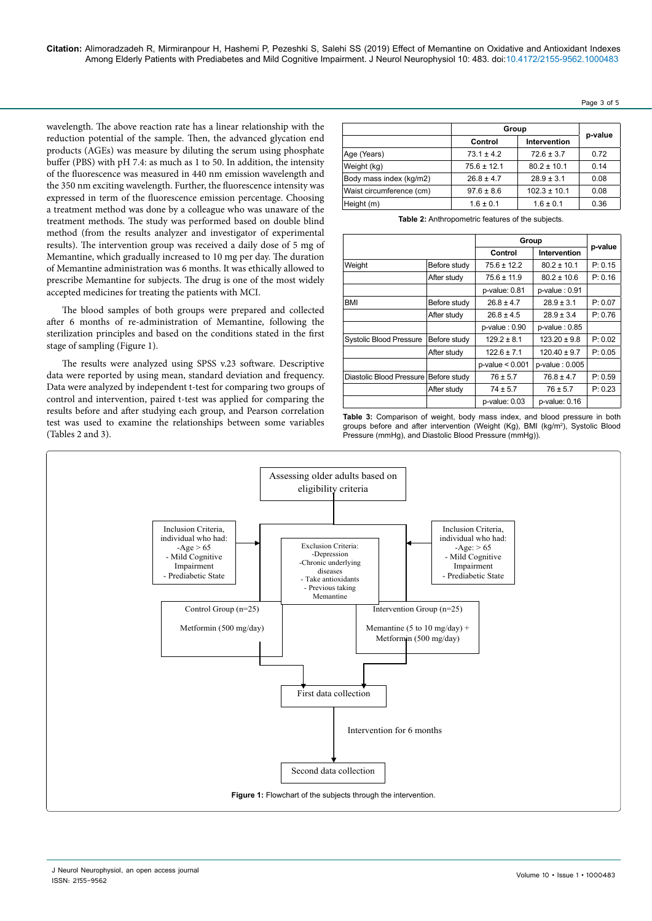wavelength. The above reaction rate has a linear relationship with the reduction potential of the sample. Then, the advanced glycation end products (AGEs) was measure by diluting the serum using phosphate buffer (PBS) with pH 7.4: as much as 1 to 50. In addition, the intensity of the fluorescence was measured in 440 nm emission wavelength and the 350 nm exciting wavelength. Further, the fluorescence intensity was expressed in term of the fluorescence emission percentage. Choosing a treatment method was done by a colleague who was unaware of the treatment methods. The study was performed based on double blind method (from the results analyzer and investigator of experimental results). The intervention group was received a daily dose of 5 mg of Memantine, which gradually increased to 10 mg per day. The duration of Memantine administration was 6 months. It was ethically allowed to prescribe Memantine for subjects. The drug is one of the most widely accepted medicines for treating the patients with MCI.

The blood samples of both groups were prepared and collected after 6 months of re-administration of Memantine, following the sterilization principles and based on the conditions stated in the first stage of sampling (Figure 1).

The results were analyzed using SPSS v.23 software. Descriptive data were reported by using mean, standard deviation and frequency. Data were analyzed by independent t-test for comparing two groups of control and intervention, paired t-test was applied for comparing the results before and after studying each group, and Pearson correlation test was used to examine the relationships between some variables (Tables 2 and 3).

|                          | Group           |                  |         |  |
|--------------------------|-----------------|------------------|---------|--|
|                          | Control         | Intervention     | p-value |  |
| Age (Years)              | $73.1 \pm 4.2$  | $72.6 \pm 3.7$   | 0.72    |  |
| Weight (kg)              | $75.6 \pm 12.1$ | $80.2 \pm 10.1$  | 0.14    |  |
| Body mass index (kg/m2)  | $26.8 \pm 4.7$  | $28.9 \pm 3.1$   | 0.08    |  |
| Waist circumference (cm) | $97.6 \pm 8.6$  | $102.3 \pm 10.1$ | 0.08    |  |
| Height (m)               | $1.6 \pm 0.1$   | $1.6 \pm 0.1$    | 0.36    |  |

**Table 2:** Anthropometric features of the subjects.

|                          |              | Group                |                     |         |
|--------------------------|--------------|----------------------|---------------------|---------|
|                          |              |                      | Intervention        | p-value |
| Weight                   | Before study | $75.6 \pm 12.2$      | $80.2 \pm 10.1$     | P: 0.15 |
|                          | After study  | $75.6 \pm 11.9$      | $80.2 \pm 10.6$     | P: 0.16 |
|                          |              | $p$ -value: $0.81$   | $p$ -value: $0.91$  |         |
| <b>BMI</b>               | Before study | $26.8 \pm 4.7$       | $28.9 \pm 3.1$      | P: 0.07 |
|                          | After study  | $26.8 \pm 4.5$       | $28.9 \pm 3.4$      | P: 0.76 |
|                          |              | $p$ -value: $0.90$   | $p$ -value: $0.85$  |         |
| Systolic Blood Pressure  | Before study | $129.2 \pm 8.1$      | $123.20 \pm 9.8$    | P: 0.02 |
|                          | After study  | $122.6 \pm 7.1$      | $120.40 \pm 9.7$    | P: 0.05 |
|                          |              | $p$ -value < $0.001$ | $p$ -value: $0.005$ |         |
| Diastolic Blood Pressure | Before study | $76 \pm 5.7$         | $76.8 \pm 4.7$      | P: 0.59 |
|                          | After study  | $74 \pm 5.7$         | $76 \pm 5.7$        | P: 0.23 |
|                          |              | p-value: 0.03        | $p$ -value: $0.16$  |         |

**Table 3:** Comparison of weight, body mass index, and blood pressure in both groups before and after intervention (Weight (Kg), BMI (kg/m2 ), Systolic Blood Pressure (mmHg), and Diastolic Blood Pressure (mmHg)).



Page 3 of 5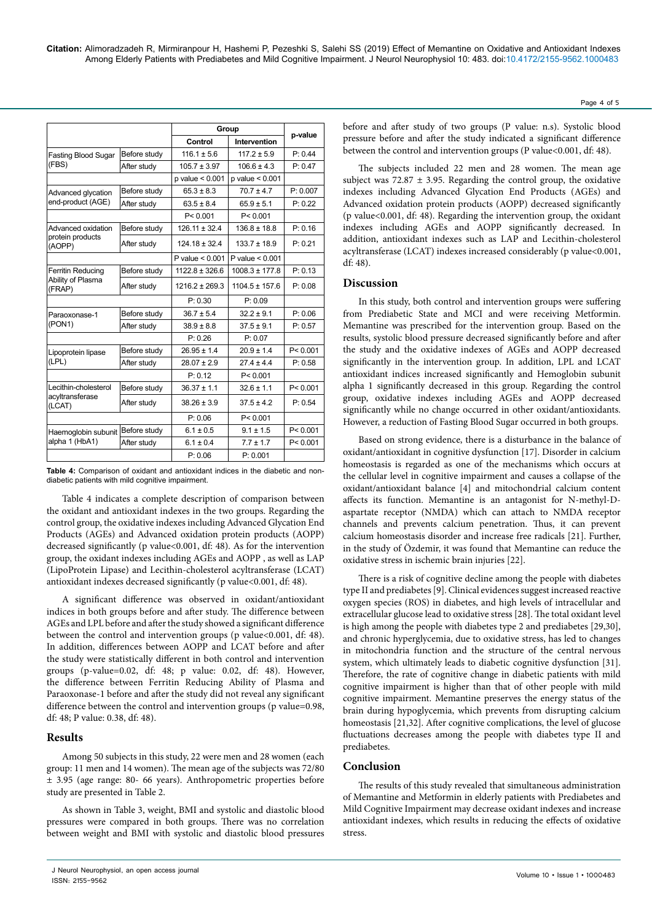**Citation:** Alimoradzadeh R, Mirmiranpour H, Hashemi P, Pezeshki S, Salehi SS (2019) Effect of Memantine on Oxidative and Antioxidant Indexes Among Elderly Patients with Prediabetes and Mild Cognitive Impairment. J Neurol Neurophysiol 10: 483. doi:10.4172/2155-9562.1000483

|                                                   |              | Group               |                     |           |
|---------------------------------------------------|--------------|---------------------|---------------------|-----------|
|                                                   |              | Control             | Intervention        | p-value   |
| <b>Fasting Blood Sugar</b><br>(FBS)               | Before study | $116.1 \pm 5.6$     | $117.2 \pm 5.9$     | P: 0.44   |
|                                                   | After study  | $105.7 \pm 3.97$    | $106.6 \pm 4.3$     | P: 0.47   |
|                                                   |              | $p$ value $< 0.001$ | $p$ value $< 0.001$ |           |
| Advanced glycation                                | Before study | $65.3 \pm 8.3$      | $70.7 \pm 4.7$      | P: 0.007  |
| end-product (AGE)                                 | After study  | $63.5 \pm 8.4$      | $65.9 \pm 5.1$      | P: 0.22   |
|                                                   |              | P < 0.001           | P < 0.001           |           |
| Advanced oxidation                                | Before study | $126.11 \pm 32.4$   | $136.8 \pm 18.8$    | P: 0.16   |
| protein products<br>(AOPP)                        | After study  | $124.18 \pm 32.4$   | $133.7 \pm 18.9$    | P: 0.21   |
|                                                   |              | P value $< 0.001$   | P value $< 0.001$   |           |
| Ferritin Reducing                                 | Before study | $1122.8 \pm 326.6$  | $1008.3 \pm 177.8$  | P: 0.13   |
| Ability of Plasma<br>(FRAP)                       | After study  | $1216.2 \pm 269.3$  | $1104.5 \pm 157.6$  | P: 0.08   |
|                                                   |              | P: 0.30             | P: 0.09             |           |
| Paraoxonase-1<br>(PON1)                           | Before study | $36.7 \pm 5.4$      | $32.2 \pm 9.1$      | P: 0.06   |
|                                                   | After study  | $38.9 \pm 8.8$      | $37.5 \pm 9.1$      | P: 0.57   |
|                                                   |              | P: 0.26             | P: 0.07             |           |
| Lipoprotein lipase<br>(LPL)                       | Before study | $26.95 \pm 1.4$     | $20.9 \pm 1.4$      | P < 0.001 |
|                                                   | After study  | $28.07 \pm 2.9$     | $274 + 44$          | P: 0.58   |
|                                                   |              | P: 0.12             | P < 0.001           |           |
| Lecithin-cholesterol<br>acyltransferase<br>(LCAT) | Before study | $36.37 \pm 1.1$     | $32.6 \pm 1.1$      | P < 0.001 |
|                                                   | After study  | $38.26 \pm 3.9$     | $37.5 \pm 4.2$      | P: 0.54   |
|                                                   |              | P: 0.06             | P < 0.001           |           |
| Haemoglobin subunit<br>alpha 1 (HbA1)             | Before study | $6.1 \pm 0.5$       | $9.1 \pm 1.5$       | P < 0.001 |
|                                                   | After study  | $6.1 \pm 0.4$       | $7.7 \pm 1.7$       | P < 0.001 |
|                                                   |              | P: 0.06             | P: 0.001            |           |

**Table 4:** Comparison of oxidant and antioxidant indices in the diabetic and nondiabetic patients with mild cognitive impairment.

Table 4 indicates a complete description of comparison between the oxidant and antioxidant indexes in the two groups. Regarding the control group, the oxidative indexes including Advanced Glycation End Products (AGEs) and Advanced oxidation protein products (AOPP) decreased significantly (p value<0.001, df: 48). As for the intervention group, the oxidant indexes including AGEs and AOPP , as well as LAP (LipoProtein Lipase) and Lecithin-cholesterol acyltransferase (LCAT) antioxidant indexes decreased significantly (p value<0.001, df: 48).

A significant difference was observed in oxidant/antioxidant indices in both groups before and after study. The difference between AGEs and LPL before and after the study showed a significant difference between the control and intervention groups (p value<0.001, df: 48). In addition, differences between AOPP and LCAT before and after the study were statistically different in both control and intervention groups (p-value=0.02, df: 48; p value: 0.02, df: 48). However, the difference between Ferritin Reducing Ability of Plasma and Paraoxonase-1 before and after the study did not reveal any significant difference between the control and intervention groups (p value=0.98, df: 48; P value: 0.38, df: 48).

## **Results**

Among 50 subjects in this study, 22 were men and 28 women (each group: 11 men and 14 women). The mean age of the subjects was 72/80 ± 3.95 (age range: 80- 66 years). Anthropometric properties before study are presented in Table 2.

As shown in Table 3, weight, BMI and systolic and diastolic blood pressures were compared in both groups. There was no correlation between weight and BMI with systolic and diastolic blood pressures before and after study of two groups (P value: n.s). Systolic blood pressure before and after the study indicated a significant difference between the control and intervention groups (P value < 0.001, df: 48).

The subjects included 22 men and 28 women. The mean age subject was  $72.87 \pm 3.95$ . Regarding the control group, the oxidative indexes including Advanced Glycation End Products (AGEs) and Advanced oxidation protein products (AOPP) decreased significantly (p value<0.001, df: 48). Regarding the intervention group, the oxidant indexes including AGEs and AOPP significantly decreased. In addition, antioxidant indexes such as LAP and Lecithin-cholesterol acyltransferase (LCAT) indexes increased considerably (p value<0.001, df: 48).

## **Discussion**

In this study, both control and intervention groups were suffering from Prediabetic State and MCI and were receiving Metformin. Memantine was prescribed for the intervention group. Based on the results, systolic blood pressure decreased significantly before and after the study and the oxidative indexes of AGEs and AOPP decreased significantly in the intervention group. In addition, LPL and LCAT antioxidant indices increased significantly and Hemoglobin subunit alpha 1 significantly decreased in this group. Regarding the control group, oxidative indexes including AGEs and AOPP decreased significantly while no change occurred in other oxidant/antioxidants. However, a reduction of Fasting Blood Sugar occurred in both groups.

Based on strong evidence, there is a disturbance in the balance of oxidant/antioxidant in cognitive dysfunction [17]. Disorder in calcium homeostasis is regarded as one of the mechanisms which occurs at the cellular level in cognitive impairment and causes a collapse of the oxidant/antioxidant balance [4] and mitochondrial calcium content affects its function. Memantine is an antagonist for N-methyl-Daspartate receptor (NMDA) which can attach to NMDA receptor channels and prevents calcium penetration. Thus, it can prevent calcium homeostasis disorder and increase free radicals [21]. Further, in the study of Özdemir, it was found that Memantine can reduce the oxidative stress in ischemic brain injuries [22].

There is a risk of cognitive decline among the people with diabetes type II and prediabetes [9]. Clinical evidences suggest increased reactive oxygen species (ROS) in diabetes, and high levels of intracellular and extracellular glucose lead to oxidative stress [28]. The total oxidant level is high among the people with diabetes type 2 and prediabetes [29,30], and chronic hyperglycemia, due to oxidative stress, has led to changes in mitochondria function and the structure of the central nervous system, which ultimately leads to diabetic cognitive dysfunction [31]. Therefore, the rate of cognitive change in diabetic patients with mild cognitive impairment is higher than that of other people with mild cognitive impairment. Memantine preserves the energy status of the brain during hypoglycemia, which prevents from disrupting calcium homeostasis [21,32]. After cognitive complications, the level of glucose fluctuations decreases among the people with diabetes type II and prediabetes.

## **Conclusion**

The results of this study revealed that simultaneous administration of Memantine and Metformin in elderly patients with Prediabetes and Mild Cognitive Impairment may decrease oxidant indexes and increase antioxidant indexes, which results in reducing the effects of oxidative stress.